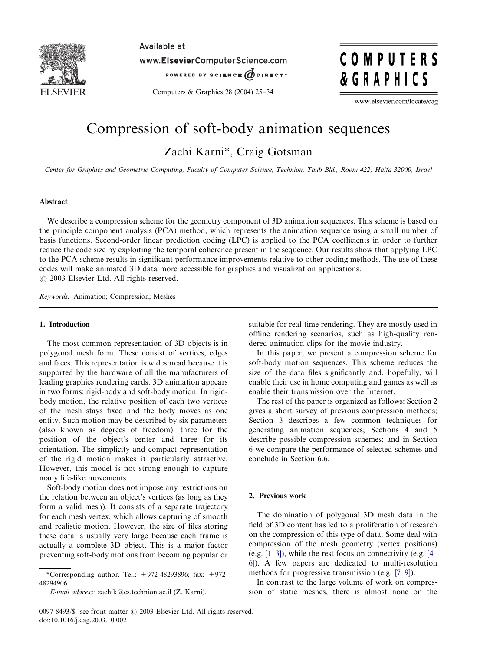

Available at

www.ElsevierComputerScience.com

POWERED BY SCIENCE @DIRECT\*

COMPUTERS **&GRAPHICS** 

Computers & Graphics 28 (2004) 25–34

www.elsevier.com/locate/cag

# Compression of soft-body animation sequences

Zachi Karni\*, Craig Gotsman

Center for Graphics and Geometric Computing, Faculty of Computer Science, Technion, Taub Bld., Room 422, Haifa 32000, Israel

## Abstract

We describe a compression scheme for the geometry component of 3D animation sequences. This scheme is based on the principle component analysis (PCA) method, which represents the animation sequence using a small number of basis functions. Second-order linear prediction coding (LPC) is applied to the PCA coefficients in order to further reduce the code size by exploiting the temporal coherence present in the sequence. Our results show that applying LPC to the PCA scheme results in significant performance improvements relative to other coding methods. The use of these codes will make animated 3D data more accessible for graphics and visualization applications.  $\odot$  2003 Elsevier Ltd. All rights reserved.

Keywords: Animation; Compression; Meshes

# 1. Introduction

The most common representation of 3D objects is in polygonal mesh form. These consist of vertices, edges and faces. This representation is widespread because it is supported by the hardware of all the manufacturers of leading graphics rendering cards. 3D animation appears in two forms: rigid-body and soft-body motion. In rigidbody motion, the relative position of each two vertices of the mesh stays fixed and the body moves as one entity. Such motion may be described by six parameters (also known as degrees of freedom): three for the position of the object's center and three for its orientation. The simplicity and compact representation of the rigid motion makes it particularly attractive. However, this model is not strong enough to capture many life-like movements.

Soft-body motion does not impose any restrictions on the relation between an object's vertices (as long as they form a valid mesh). It consists of a separate trajectory for each mesh vertex, which allows capturing of smooth and realistic motion. However, the size of files storing these data is usually very large because each frame is actually a complete 3D object. This is a major factor preventing soft-body motions from becoming popular or

\*Corresponding author. Tel.:  $+972-48293896$ ; fax:  $+972-$ 48294906.

E-mail address: zachik@cs.technion.ac.il (Z. Karni).

suitable for real-time rendering. They are mostly used in offline rendering scenarios, such as high-quality rendered animation clips for the movie industry.

In this paper, we present a compression scheme for soft-body motion sequences. This scheme reduces the size of the data files significantly and, hopefully, will enable their use in home computing and games as well as enable their transmission over the Internet.

The rest of the paper is organized as follows: Section 2 gives a short survey of previous compression methods; Section 3 describes a few common techniques for generating animation sequences; Sections 4 and 5 describe possible compression schemes; and in Section 6 we compare the performance of selected schemes and conclude in Section 6.6.

## 2. Previous work

The domination of polygonal 3D mesh data in the field of 3D content has led to a proliferation of research on the compression of this type of data. Some deal with compression of the mesh geometry (vertex positions) (e.g. [\[1–3\]](#page-8-0)), while the rest focus on connectivity (e.g. [\[4–](#page-8-0) [6\]\)](#page-8-0). A few papers are dedicated to multi-resolution methods for progressive transmission (e.g. [\[7–9\]\)](#page-8-0).

In contrast to the large volume of work on compression of static meshes, there is almost none on the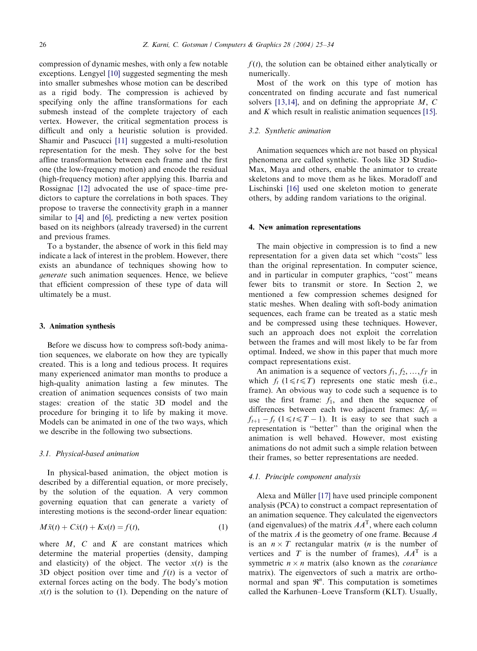compression of dynamic meshes, with only a few notable exceptions. Lengyel [\[10\]](#page-8-0) suggested segmenting the mesh into smaller submeshes whose motion can be described as a rigid body. The compression is achieved by specifying only the affine transformations for each submesh instead of the complete trajectory of each vertex. However, the critical segmentation process is difficult and only a heuristic solution is provided. Shamir and Pascucci [\[11\]](#page-8-0) suggested a multi-resolution representation for the mesh. They solve for the best affine transformation between each frame and the first one (the low-frequency motion) and encode the residual (high-frequency motion) after applying this. Ibarria and Rossignac [\[12\]](#page-8-0) advocated the use of space–time predictors to capture the correlations in both spaces. They propose to traverse the connectivity graph in a manner similar to [\[4\]](#page-8-0) and [\[6\],](#page-8-0) predicting a new vertex position based on its neighbors (already traversed) in the current and previous frames.

To a bystander, the absence of work in this field may indicate a lack of interest in the problem. However, there exists an abundance of techniques showing how to generate such animation sequences. Hence, we believe that efficient compression of these type of data will ultimately be a must.

#### 3. Animation synthesis

Before we discuss how to compress soft-body animation sequences, we elaborate on how they are typically created. This is a long and tedious process. It requires many experienced animator man months to produce a high-quality animation lasting a few minutes. The creation of animation sequences consists of two main stages: creation of the static 3D model and the procedure for bringing it to life by making it move. Models can be animated in one of the two ways, which we describe in the following two subsections.

## 3.1. Physical-based animation

In physical-based animation, the object motion is described by a differential equation, or more precisely, by the solution of the equation. A very common governing equation that can generate a variety of interesting motions is the second-order linear equation:

$$
M\ddot{x}(t) + C\dot{x}(t) + Kx(t) = f(t),\tag{1}
$$

where  $M$ ,  $C$  and  $K$  are constant matrices which determine the material properties (density, damping and elasticity) of the object. The vector  $x(t)$  is the 3D object position over time and  $f(t)$  is a vector of external forces acting on the body. The body's motion  $x(t)$  is the solution to (1). Depending on the nature of  $f(t)$ , the solution can be obtained either analytically or numerically.

Most of the work on this type of motion has concentrated on finding accurate and fast numerical solvers [\[13,14\]](#page-8-0), and on defining the appropriate  $M$ ,  $C$ and K which result in realistic animation sequences [\[15\].](#page-8-0)

## 3.2. Synthetic animation

Animation sequences which are not based on physical phenomena are called synthetic. Tools like 3D Studio-Max, Maya and others, enable the animator to create skeletons and to move them as he likes. Moradoff and Lischinski [\[16\]](#page-8-0) used one skeleton motion to generate others, by adding random variations to the original.

#### 4. New animation representations

The main objective in compression is to find a new representation for a given data set which ''costs'' less than the original representation. In computer science, and in particular in computer graphics, ''cost'' means fewer bits to transmit or store. In Section 2, we mentioned a few compression schemes designed for static meshes. When dealing with soft-body animation sequences, each frame can be treated as a static mesh and be compressed using these techniques. However, such an approach does not exploit the correlation between the frames and will most likely to be far from optimal. Indeed, we show in this paper that much more compact representations exist.

An animation is a sequence of vectors  $f_1, f_2, ..., f_T$  in which  $f_t$  ( $1 \le t \le T$ ) represents one static mesh (i.e., frame). An obvious way to code such a sequence is to use the first frame:  $f_1$ , and then the sequence of differences between each two adjacent frames:  $\Delta f_t =$  $f_{t+1} - f_t$  (1  $\le t \le T - 1$ ). It is easy to see that such a representation is ''better'' than the original when the animation is well behaved. However, most existing animations do not admit such a simple relation between their frames, so better representations are needed.

#### 4.1. Principle component analysis

Alexa and Müller  $[17]$  have used principle component analysis (PCA) to construct a compact representation of an animation sequence. They calculated the eigenvectors (and eigenvalues) of the matrix  $AA<sup>T</sup>$ , where each column of the matrix A is the geometry of one frame. Because A is an  $n \times T$  rectangular matrix (*n* is the number of vertices and T is the number of frames),  $AA<sup>T</sup>$  is a symmetric  $n \times n$  matrix (also known as the *covariance* matrix). The eigenvectors of such a matrix are orthonormal and span  $\mathfrak{R}^n$ . This computation is sometimes called the Karhunen–Loeve Transform (KLT). Usually,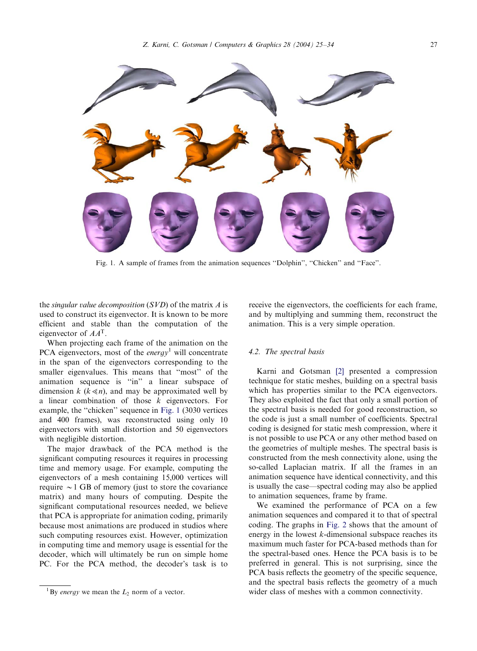<span id="page-2-0"></span>

Fig. 1. A sample of frames from the animation sequences "Dolphin", "Chicken" and "Face".

the singular value decomposition  $(SVD)$  of the matrix A is used to construct its eigenvector. It is known to be more efficient and stable than the computation of the eigenvector of  $AA<sup>T</sup>$ .

When projecting each frame of the animation on the PCA eigenvectors, most of the energy<sup>1</sup> will concentrate in the span of the eigenvectors corresponding to the smaller eigenvalues. This means that ''most'' of the animation sequence is ''in'' a linear subspace of dimension  $k$  ( $k \le n$ ), and may be approximated well by a linear combination of those  $k$  eigenvectors. For example, the ''chicken'' sequence in Fig. 1 (3030 vertices and 400 frames), was reconstructed using only 10 eigenvectors with small distortion and 50 eigenvectors with negligible distortion.

The major drawback of the PCA method is the significant computing resources it requires in processing time and memory usage. For example, computing the eigenvectors of a mesh containing 15,000 vertices will require  $\sim$  1 GB of memory (just to store the covariance matrix) and many hours of computing. Despite the significant computational resources needed, we believe that PCA is appropriate for animation coding, primarily because most animations are produced in studios where such computing resources exist. However, optimization in computing time and memory usage is essential for the decoder, which will ultimately be run on simple home PC. For the PCA method, the decoder's task is to

receive the eigenvectors, the coefficients for each frame, and by multiplying and summing them, reconstruct the animation. This is a very simple operation.

# 4.2. The spectral basis

Karni and Gotsman [\[2\]](#page-8-0) presented a compression technique for static meshes, building on a spectral basis which has properties similar to the PCA eigenvectors. They also exploited the fact that only a small portion of the spectral basis is needed for good reconstruction, so the code is just a small number of coefficients. Spectral coding is designed for static mesh compression, where it is not possible to use PCA or any other method based on the geometries of multiple meshes. The spectral basis is constructed from the mesh connectivity alone, using the so-called Laplacian matrix. If all the frames in an animation sequence have identical connectivity, and this is usually the case—spectral coding may also be applied to animation sequences, frame by frame.

We examined the performance of PCA on a few animation sequences and compared it to that of spectral coding. The graphs in [Fig. 2](#page-3-0) shows that the amount of energy in the lowest  $k$ -dimensional subspace reaches its maximum much faster for PCA-based methods than for the spectral-based ones. Hence the PCA basis is to be preferred in general. This is not surprising, since the PCA basis reflects the geometry of the specific sequence, and the spectral basis reflects the geometry of a much wider class of meshes with a common connectivity.

<sup>&</sup>lt;sup>1</sup> By *energy* we mean the  $L_2$  norm of a vector.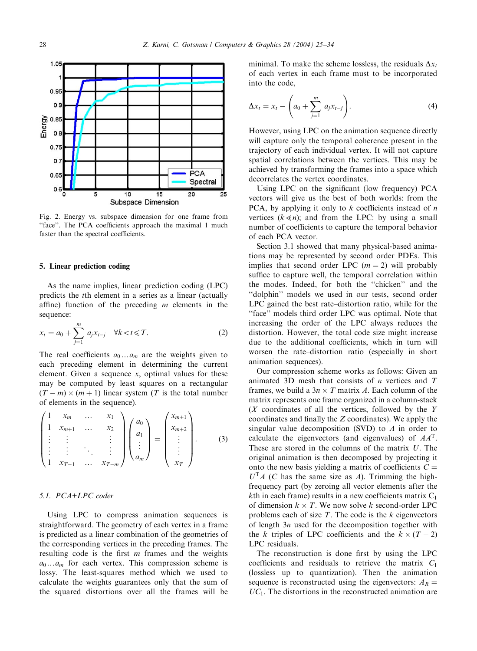<span id="page-3-0"></span>

Fig. 2. Energy vs. subspace dimension for one frame from "face". The PCA coefficients approach the maximal 1 much faster than the spectral coefficients.

#### 5. Linear prediction coding

As the name implies, linear prediction coding (LPC) predicts the tth element in a series as a linear (actually affine) function of the preceding  $m$  elements in the sequence:

$$
x_{t} = a_{0} + \sum_{j=1}^{m} a_{j} x_{t-j} \quad \forall k < t \leq T.
$$
 (2)

The real coefficients  $a_0 \dots a_m$  are the weights given to each preceding element in determining the current element. Given a sequence  $x$ , optimal values for these may be computed by least squares on a rectangular  $(T - m) \times (m + 1)$  linear system (T is the total number of elements in the sequence).

$$
\begin{pmatrix} 1 & x_m & \dots & x_1 \\ 1 & x_{m+1} & \dots & x_2 \\ \vdots & \vdots & & \vdots \\ \vdots & \vdots & & \ddots \\ 1 & x_{T-1} & \dots & x_{T-m} \end{pmatrix} \begin{pmatrix} a_0 \\ a_1 \\ \vdots \\ a_m \end{pmatrix} = \begin{pmatrix} x_{m+1} \\ x_{m+2} \\ \vdots \\ x_T \end{pmatrix}.
$$
 (3)

# 5.1. PCA+LPC coder

Using LPC to compress animation sequences is straightforward. The geometry of each vertex in a frame is predicted as a linear combination of the geometries of the corresponding vertices in the preceding frames. The resulting code is the first  $m$  frames and the weights  $a_0 \dots a_m$  for each vertex. This compression scheme is lossy. The least-squares method which we used to calculate the weights guarantees only that the sum of the squared distortions over all the frames will be

minimal. To make the scheme lossless, the residuals  $\Delta x_t$ of each vertex in each frame must to be incorporated into the code,

$$
\Delta x_t = x_t - \left( a_0 + \sum_{j=1}^m a_j x_{t-j} \right). \tag{4}
$$

However, using LPC on the animation sequence directly will capture only the temporal coherence present in the trajectory of each individual vertex. It will not capture spatial correlations between the vertices. This may be achieved by transforming the frames into a space which decorrelates the vertex coordinates.

Using LPC on the significant (low frequency) PCA vectors will give us the best of both worlds: from the PCA, by applying it only to  $k$  coefficients instead of  $n$ vertices  $(k \le n)$ ; and from the LPC: by using a small number of coefficients to capture the temporal behavior of each PCA vector.

Section 3.1 showed that many physical-based animations may be represented by second order PDEs. This implies that second order LPC  $(m = 2)$  will probably suffice to capture well, the temporal correlation within the modes. Indeed, for both the ''chicken'' and the ''dolphin'' models we used in our tests, second order LPC gained the best rate–distortion ratio, while for the "face" models third order LPC was optimal. Note that increasing the order of the LPC always reduces the distortion. However, the total code size might increase due to the additional coefficients, which in turn will worsen the rate–distortion ratio (especially in short animation sequences).

Our compression scheme works as follows: Given an animated 3D mesh that consists of *n* vertices and  $T$ frames, we build a  $3n \times T$  matrix A. Each column of the matrix represents one frame organized in a column-stack  $(X$  coordinates of all the vertices, followed by the Y coordinates and finally the Z coordinates). We apply the singular value decomposition (SVD) to  $A$  in order to calculate the eigenvectors (and eigenvalues) of  $AA<sup>T</sup>$ . These are stored in the columns of the matrix  $U$ . The original animation is then decomposed by projecting it onto the new basis yielding a matrix of coefficients  $C =$  $U<sup>T</sup>A$  (C has the same size as A). Trimming the highfrequency part (by zeroing all vector elements after the kth in each frame) results in a new coefficients matrix  $C_1$ of dimension  $k \times T$ . We now solve k second-order LPC problems each of size  $T$ . The code is the  $k$  eigenvectors of length  $3n$  used for the decomposition together with the k triples of LPC coefficients and the  $k \times (T - 2)$ LPC residuals.

The reconstruction is done first by using the LPC coefficients and residuals to retrieve the matrix  $C_1$ (lossless up to quantization). Then the animation sequence is reconstructed using the eigenvectors:  $A_R =$  $UC<sub>1</sub>$ . The distortions in the reconstructed animation are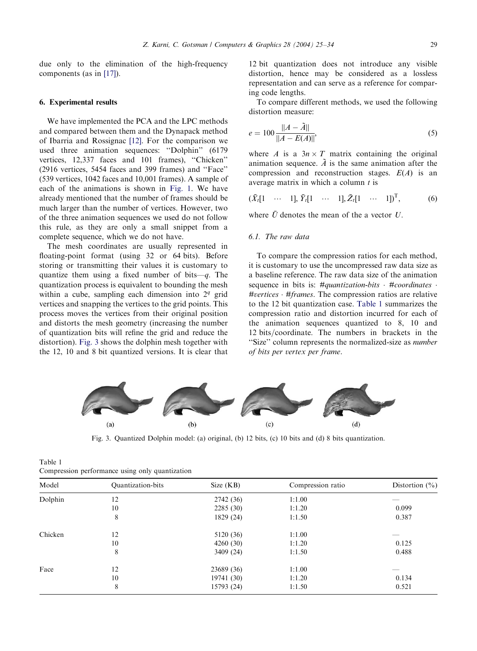due only to the elimination of the high-frequency components (as in [\[17\]](#page-9-0)).

#### 6. Experimental results

We have implemented the PCA and the LPC methods and compared between them and the Dynapack method of Ibarria and Rossignac [\[12\]](#page-8-0). For the comparison we used three animation sequences: ''Dolphin'' (6179 vertices, 12,337 faces and 101 frames), ''Chicken'' (2916 vertices, 5454 faces and 399 frames) and ''Face'' (539 vertices, 1042 faces and 10,001 frames). A sample of each of the animations is shown in [Fig. 1](#page-2-0). We have already mentioned that the number of frames should be much larger than the number of vertices. However, two of the three animation sequences we used do not follow this rule, as they are only a small snippet from a complete sequence, which we do not have.

The mesh coordinates are usually represented in floating-point format (using 32 or 64 bits). Before storing or transmitting their values it is customary to quantize them using a fixed number of bits—q. The quantization process is equivalent to bounding the mesh within a cube, sampling each dimension into  $2<sup>q</sup>$  grid vertices and snapping the vertices to the grid points. This process moves the vertices from their original position and distorts the mesh geometry (increasing the number of quantization bits will refine the grid and reduce the distortion). Fig. 3 shows the dolphin mesh together with the 12, 10 and 8 bit quantized versions. It is clear that

12 bit quantization does not introduce any visible distortion, hence may be considered as a lossless representation and can serve as a reference for comparing code lengths.

To compare different methods, we used the following distortion measure:

$$
e = 100 \frac{\|A - \tilde{A}\|}{\|A - E(A)\|},
$$
\n(5)

where A is a  $3n \times T$  matrix containing the original animation sequence.  $\tilde{A}$  is the same animation after the compression and reconstruction stages.  $E(A)$  is an average matrix in which a column  $t$  is

$$
(\bar{X}_t[1 \cdots 1], \bar{Y}_t[1 \cdots 1], \bar{Z}_t[1 \cdots 1])^T,
$$
 (6)

where  $\bar{U}$  denotes the mean of the a vector U.

# 6.1. The raw data

To compare the compression ratios for each method, it is customary to use the uncompressed raw data size as a baseline reference. The raw data size of the animation sequence in bits is:  $\#$ *quantization-bits*  $\cdot$   $\#$ *coordinates*  $\cdot$  $\#vertices \cdot \#frames$ . The compression ratios are relative to the 12 bit quantization case. Table 1 summarizes the compression ratio and distortion incurred for each of the animation sequences quantized to 8, 10 and 12 bits/coordinate. The numbers in brackets in the "Size" column represents the normalized-size as *number* of bits per vertex per frame.



Fig. 3. Quantized Dolphin model: (a) original, (b) 12 bits, (c) 10 bits and (d) 8 bits quantization.

| compression performance asing omy quantization |            |                   |                    |  |  |  |
|------------------------------------------------|------------|-------------------|--------------------|--|--|--|
| <b>Quantization-bits</b>                       | Size (KB)  | Compression ratio | Distortion $(\% )$ |  |  |  |
| 12                                             | 2742 (36)  | 1:1.00            |                    |  |  |  |
| 10                                             | 2285(30)   | 1:1.20            | 0.099              |  |  |  |
| 8                                              | 1829 (24)  | 1:1.50            | 0.387              |  |  |  |
| 12                                             | 5120 (36)  | 1:1.00            |                    |  |  |  |
| 10                                             | 4260 (30)  | 1:1.20            | 0.125              |  |  |  |
| 8                                              | 3409 (24)  | 1:1.50            | 0.488              |  |  |  |
| 12                                             | 23689 (36) | 1:1.00            |                    |  |  |  |
| 10                                             | 19741 (30) | 1:1.20            | 0.134              |  |  |  |
| 8                                              | 15793 (24) | 1:1.50            | 0.521              |  |  |  |
|                                                |            |                   |                    |  |  |  |

| Table 1                                         |  |  |  |
|-------------------------------------------------|--|--|--|
| Compression performance using only quantization |  |  |  |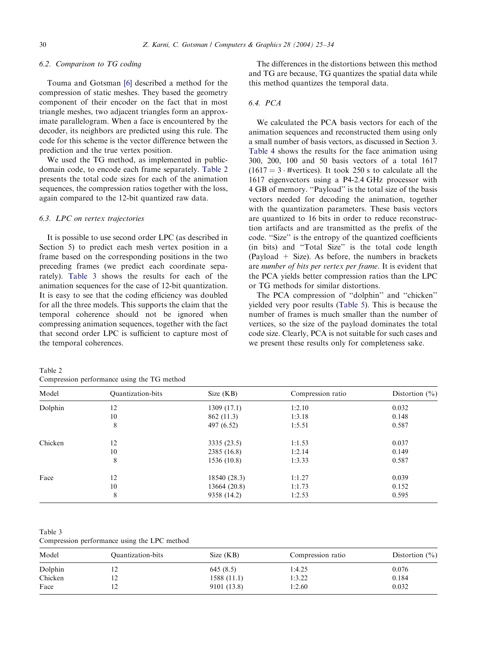## 6.2. Comparison to TG coding

Touma and Gotsman [\[6\]](#page-8-0) described a method for the compression of static meshes. They based the geometry component of their encoder on the fact that in most triangle meshes, two adjacent triangles form an approximate parallelogram. When a face is encountered by the decoder, its neighbors are predicted using this rule. The code for this scheme is the vector difference between the prediction and the true vertex position.

We used the TG method, as implemented in publicdomain code, to encode each frame separately. Table 2 presents the total code sizes for each of the animation sequences, the compression ratios together with the loss, again compared to the 12-bit quantized raw data.

# 6.3. LPC on vertex trajectories

It is possible to use second order LPC (as described in Section 5) to predict each mesh vertex position in a frame based on the corresponding positions in the two preceding frames (we predict each coordinate separately). Table 3 shows the results for each of the animation sequences for the case of 12-bit quantization. It is easy to see that the coding efficiency was doubled for all the three models. This supports the claim that the temporal coherence should not be ignored when compressing animation sequences, together with the fact that second order LPC is sufficient to capture most of the temporal coherences.

| The differences in the distortions between this method  |
|---------------------------------------------------------|
| and TG are because. TG quantizes the spatial data while |
| this method quantizes the temporal data.                |

## 6.4. PCA

We calculated the PCA basis vectors for each of the animation sequences and reconstructed them using only a small number of basis vectors, as discussed in Section 3. [Table 4](#page-6-0) shows the results for the face animation using 300, 200, 100 and 50 basis vectors of a total 1617  $(1617 = 3 \cdot \text{4}$  + #vertices). It took 250 s to calculate all the 1617 eigenvectors using a P4-2:4 GHz processor with 4 GB of memory. ''Payload'' is the total size of the basis vectors needed for decoding the animation, together with the quantization parameters. These basis vectors are quantized to 16 bits in order to reduce reconstruction artifacts and are transmitted as the prefix of the code. ''Size'' is the entropy of the quantized coefficients (in bits) and ''Total Size'' is the total code length  $(Payload + Size)$ . As before, the numbers in brackets are number of bits per vertex per frame. It is evident that the PCA yields better compression ratios than the LPC or TG methods for similar distortions.

The PCA compression of ''dolphin'' and ''chicken'' yielded very poor results ([Table 5](#page-6-0)). This is because the number of frames is much smaller than the number of vertices, so the size of the payload dominates the total code size. Clearly, PCA is not suitable for such cases and we present these results only for completeness sake.

| Table 2                                     |  |  |
|---------------------------------------------|--|--|
| Compression performance using the TG method |  |  |

| Model   | Quantization-bits | Size (KB)    | Compression ratio | Distortion $(\% )$ |
|---------|-------------------|--------------|-------------------|--------------------|
| Dolphin | 12                | 1309 (17.1)  | 1:2.10            | 0.032              |
|         | 10                | 862 (11.3)   | 1:3.18            | 0.148              |
|         | 8                 | 497 (6.52)   | 1:5.51            | 0.587              |
| Chicken | 12                | 3335 (23.5)  | 1:1.53            | 0.037              |
|         | 10                | 2385 (16.8)  | 1:2.14            | 0.149              |
|         | 8                 | 1536 (10.8)  | 1:3.33            | 0.587              |
| Face    | 12                | 18540 (28.3) | 1:1.27            | 0.039              |
|         | 10                | 13664 (20.8) | 1:1.73            | 0.152              |
|         | 8                 | 9358 (14.2)  | 1:2.53            | 0.595              |

Table 3

Compression performance using the LPC method

| Model   | Quantization-bits | Size (KB)   | Compression ratio | Distortion $(\% )$ |
|---------|-------------------|-------------|-------------------|--------------------|
| Dolphin | - 12              | 645(8.5)    | 1:4.25            | 0.076              |
| Chicken | 12                | 1588 (11.1) | 1:3.22            | 0.184              |
| Face    |                   | 9101 (13.8) | 1:2.60            | 0.032              |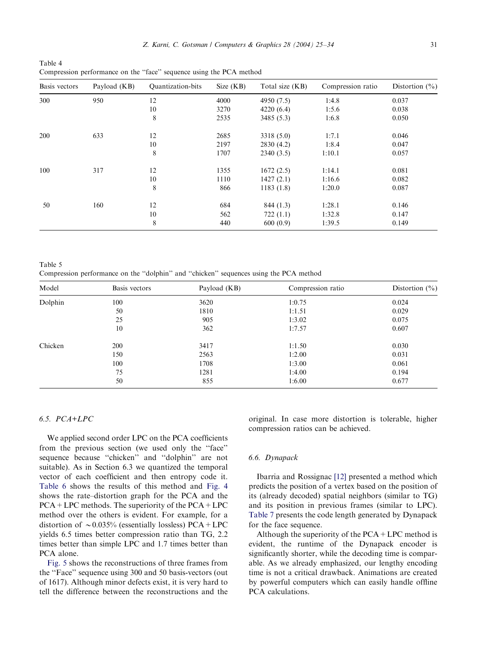<span id="page-6-0"></span>Table 4 Compression performance on the ''face'' sequence using the PCA method

| Basis vectors | Payload (KB) | Quantization-bits | Size (KB) | Total size (KB) | Compression ratio | Distortion $(\% )$ |
|---------------|--------------|-------------------|-----------|-----------------|-------------------|--------------------|
| 300           | 950          | 12                | 4000      | 4950 (7.5)      | 1:4.8             | 0.037              |
|               |              | 10                | 3270      | 4220(6.4)       | 1:5.6             | 0.038              |
|               |              | 8                 | 2535      | 3485 (5.3)      | 1:6.8             | 0.050              |
| 200           | 633          | 12                | 2685      | 3318 (5.0)      | 1:7.1             | 0.046              |
|               |              | 10                | 2197      | 2830 (4.2)      | 1:8.4             | 0.047              |
|               |              | 8                 | 1707      | 2340(3.5)       | 1:10.1            | 0.057              |
| 100           | 317          | 12                | 1355      | 1672(2.5)       | 1:14.1            | 0.081              |
|               |              | 10                | 1110      | 1427(2.1)       | 1:16.6            | 0.082              |
|               |              | 8                 | 866       | 1183(1.8)       | 1:20.0            | 0.087              |
| 50            | 160          | 12                | 684       | 844 (1.3)       | 1:28.1            | 0.146              |
|               |              | 10                | 562       | 722(1.1)        | 1:32.8            | 0.147              |
|               |              | 8                 | 440       | 600(0.9)        | 1:39.5            | 0.149              |

Table 5 Compression performance on the ''dolphin'' and ''chicken'' sequences using the PCA method

| Model   | Basis vectors | Payload (KB) | Compression ratio | Distortion $(\% )$ |
|---------|---------------|--------------|-------------------|--------------------|
| Dolphin | 100           | 3620         | 1:0.75            | 0.024              |
|         | 50            | 1810         | 1:1.51            | 0.029              |
|         | 25            | 905          | 1:3.02            | 0.075              |
|         | 10            | 362          | 1:7.57            | 0.607              |
| Chicken | 200           | 3417         | 1:1.50            | 0.030              |
|         | 150           | 2563         | 1:2.00            | 0.031              |
|         | 100           | 1708         | 1:3.00            | 0.061              |
|         | 75            | 1281         | 1:4.00            | 0.194              |
|         | 50            | 855          | 1:6.00            | 0.677              |

# 6.5. PCA+LPC

We applied second order LPC on the PCA coefficients from the previous section (we used only the ''face'' sequence because ''chicken'' and ''dolphin'' are not suitable). As in Section 6.3 we quantized the temporal vector of each coefficient and then entropy code it. [Table 6](#page-7-0) shows the results of this method and [Fig. 4](#page-7-0) shows the rate–distortion graph for the PCA and the  $PCA + LPC$  methods. The superiority of the  $PCA + LPC$ method over the others is evident. For example, for a distortion of  $\sim 0.035\%$  (essentially lossless) PCA+LPC yields 6.5 times better compression ratio than TG, 2.2 times better than simple LPC and 1.7 times better than PCA alone.

[Fig. 5](#page-8-0) shows the reconstructions of three frames from the ''Face'' sequence using 300 and 50 basis-vectors (out of 1617). Although minor defects exist, it is very hard to tell the difference between the reconstructions and the

original. In case more distortion is tolerable, higher compression ratios can be achieved.

# 6.6. Dynapack

Ibarria and Rossignac [\[12\]](#page-8-0) presented a method which predicts the position of a vertex based on the position of its (already decoded) spatial neighbors (similar to TG) and its position in previous frames (similar to LPC). [Table 7](#page-8-0) presents the code length generated by Dynapack for the face sequence.

Although the superiority of the  $PCA + LPC$  method is evident, the runtime of the Dynapack encoder is significantly shorter, while the decoding time is comparable. As we already emphasized, our lengthy encoding time is not a critical drawback. Animations are created by powerful computers which can easily handle offline PCA calculations.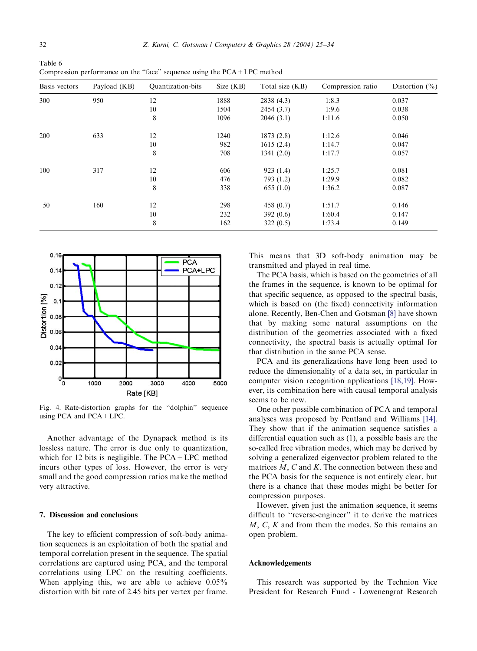<span id="page-7-0"></span>

| Table 6                                                                     |  |
|-----------------------------------------------------------------------------|--|
| Compression performance on the "face" sequence using the $PCA + LPC$ method |  |

| Basis vectors | Payload (KB) | Quantization-bits | Size (KB) | Total size (KB) | Compression ratio | Distortion $(\% )$ |
|---------------|--------------|-------------------|-----------|-----------------|-------------------|--------------------|
| 300           | 950          | 12                | 1888      | 2838 (4.3)      | 1:8.3             | 0.037              |
|               |              | 10                | 1504      | 2454 (3.7)      | 1:9.6             | 0.038              |
|               |              | 8                 | 1096      | 2046(3.1)       | 1:11.6            | 0.050              |
| 200           | 633          | 12                | 1240      | 1873 (2.8)      | 1:12.6            | 0.046              |
|               |              | 10                | 982       | 1615(2.4)       | 1:14.7            | 0.047              |
|               |              | 8                 | 708       | 1341(2.0)       | 1:17.7            | 0.057              |
| 100           | 317          | 12                | 606       | 923(1.4)        | 1:25.7            | 0.081              |
|               |              | 10                | 476       | 793 (1.2)       | 1:29.9            | 0.082              |
|               |              | 8                 | 338       | 655(1.0)        | 1:36.2            | 0.087              |
| 50            | 160          | 12                | 298       | 458 $(0.7)$     | 1:51.7            | 0.146              |
|               |              | 10                | 232       | 392 $(0.6)$     | 1:60.4            | 0.147              |
|               |              | 8                 | 162       | 322(0.5)        | 1:73.4            | 0.149              |



Fig. 4. Rate-distortion graphs for the ''dolphin'' sequence using PCA and PCA+LPC.

Another advantage of the Dynapack method is its lossless nature. The error is due only to quantization, which for 12 bits is negligible. The  $PCA + LPC$  method incurs other types of loss. However, the error is very small and the good compression ratios make the method very attractive.

# 7. Discussion and conclusions

The key to efficient compression of soft-body animation sequences is an exploitation of both the spatial and temporal correlation present in the sequence. The spatial correlations are captured using PCA, and the temporal correlations using LPC on the resulting coefficients. When applying this, we are able to achieve  $0.05\%$ distortion with bit rate of 2.45 bits per vertex per frame. This means that 3D soft-body animation may be transmitted and played in real time.

The PCA basis, which is based on the geometries of all the frames in the sequence, is known to be optimal for that specific sequence, as opposed to the spectral basis, which is based on (the fixed) connectivity information alone. Recently, Ben-Chen and Gotsman [\[8\]](#page-8-0) have shown that by making some natural assumptions on the distribution of the geometries associated with a fixed connectivity, the spectral basis is actually optimal for that distribution in the same PCA sense.

PCA and its generalizations have long been used to reduce the dimensionality of a data set, in particular in computer vision recognition applications [\[18,19\].](#page-9-0) However, its combination here with causal temporal analysis seems to be new.

One other possible combination of PCA and temporal analyses was proposed by Pentland and Williams [\[14\].](#page-8-0) They show that if the animation sequence satisfies a differential equation such as (1), a possible basis are the so-called free vibration modes, which may be derived by solving a generalized eigenvector problem related to the matrices  $M$ ,  $C$  and  $K$ . The connection between these and the PCA basis for the sequence is not entirely clear, but there is a chance that these modes might be better for compression purposes.

However, given just the animation sequence, it seems difficult to ''reverse-engineer'' it to derive the matrices  $M, C, K$  and from them the modes. So this remains an open problem.

#### Acknowledgements

This research was supported by the Technion Vice President for Research Fund - Lowenengrat Research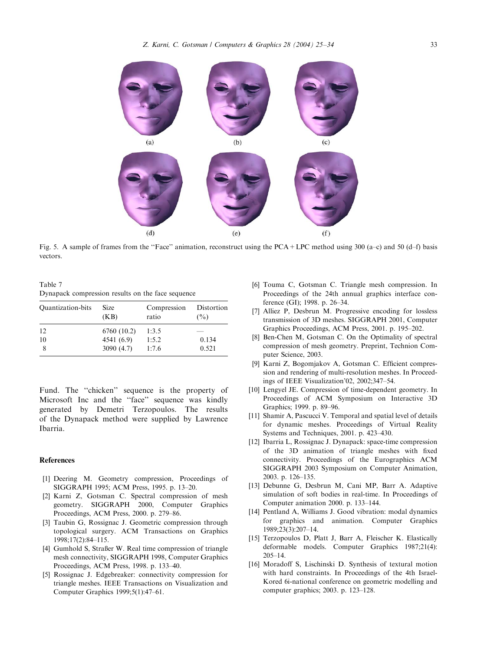<span id="page-8-0"></span> $(a)$  $(b)$  $(c)$  $(d)$  $(f)$  $(e)$ 

Fig. 5. A sample of frames from the ''Face'' animation, reconstruct using the PCA+LPC method using 300 (a–c) and 50 (d–f) basis vectors.

Table 7 Dynapack compression results on the face sequence

| Quantization-bits | Size<br>(KB) | Compression<br>ratio | Distortion<br>$($ %) |
|-------------------|--------------|----------------------|----------------------|
| 12                | 6760 (10.2)  | 1:3.5                |                      |
| 10                | 4541 (6.9)   | 1:5.2                | 0.134                |
|                   | 3090(4.7)    | 1:7.6                | 0.521                |

Fund. The "chicken" sequence is the property of Microsoft Inc and the ''face'' sequence was kindly generated by Demetri Terzopoulos. The results of the Dynapack method were supplied by Lawrence Ibarria.

#### References

- [1] Deering M. Geometry compression, Proceedings of SIGGRAPH 1995; ACM Press, 1995. p. 13–20.
- [2] Karni Z, Gotsman C. Spectral compression of mesh geometry. SIGGRAPH 2000, Computer Graphics Proceedings, ACM Press, 2000. p. 279–86.
- [3] Taubin G, Rossignac J. Geometric compression through topological surgery. ACM Transactions on Graphics 1998;17(2):84–115.
- [4] Gumhold S, Straßer W. Real time compression of triangle mesh connectivity, SIGGRAPH 1998, Computer Graphics Proceedings, ACM Press, 1998. p. 133–40.
- [5] Rossignac J. Edgebreaker: connectivity compression for triangle meshes. IEEE Transactions on Visualization and Computer Graphics 1999;5(1):47–61.
- [6] Touma C, Gotsman C. Triangle mesh compression. In Proceedings of the 24th annual graphics interface conference (GI); 1998. p. 26–34.
- [7] Alliez P, Desbrun M. Progressive encoding for lossless transmission of 3D meshes. SIGGRAPH 2001, Computer Graphics Proceedings, ACM Press, 2001. p. 195–202.
- [8] Ben-Chen M, Gotsman C. On the Optimality of spectral compression of mesh geometry. Preprint, Technion Computer Science, 2003.
- [9] Karni Z, Bogomjakov A, Gotsman C. Efficient compression and rendering of multi-resolution meshes. In Proceedings of IEEE Visualization'02, 2002;347–54.
- [10] Lengyel JE. Compression of time-dependent geometry. In Proceedings of ACM Symposium on Interactive 3D Graphics; 1999. p. 89–96.
- [11] Shamir A, Pascucci V. Temporal and spatial level of details for dynamic meshes. Proceedings of Virtual Reality Systems and Techniques, 2001. p. 423–430.
- [12] Ibarria L, Rossignac J. Dynapack: space-time compression of the 3D animation of triangle meshes with fixed connectivity. Proceedings of the Eurographics ACM SIGGRAPH 2003 Symposium on Computer Animation, 2003. p. 126–135.
- [13] Debunne G, Desbrun M, Cani MP, Barr A. Adaptive simulation of soft bodies in real-time. In Proceedings of Computer animation 2000. p. 133–144.
- [14] Pentland A, Williams J. Good vibration: modal dynamics for graphics and animation. Computer Graphics 1989;23(3):207–14.
- [15] Terzopoulos D, Platt J, Barr A, Fleischer K. Elastically deformable models. Computer Graphics 1987;21(4): 205–14.
- [16] Moradoff S, Lischinski D. Synthesis of textural motion with hard constraints. In Proceedings of the 4th Israel-Kored 6i-national conference on geometric modelling and computer graphics; 2003. p. 123–128.